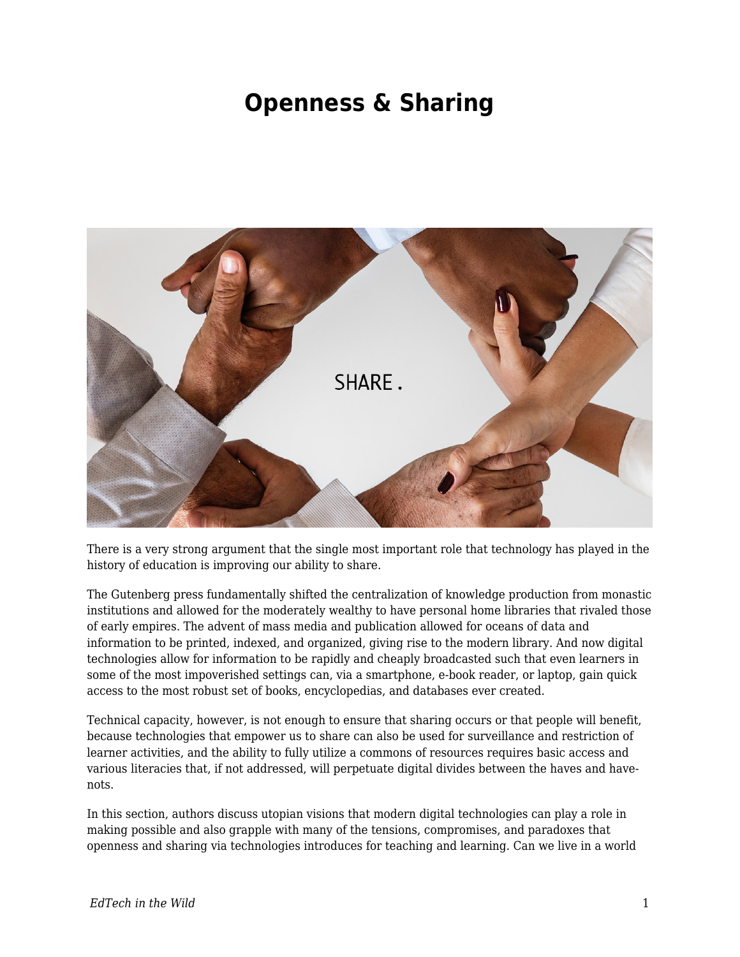## **Openness & Sharing**



There is a very strong argument that the single most important role that technology has played in the history of education is improving our ability to share.

The Gutenberg press fundamentally shifted the centralization of knowledge production from monastic institutions and allowed for the moderately wealthy to have personal home libraries that rivaled those of early empires. The advent of mass media and publication allowed for oceans of data and information to be printed, indexed, and organized, giving rise to the modern library. And now digital technologies allow for information to be rapidly and cheaply broadcasted such that even learners in some of the most impoverished settings can, via a smartphone, e-book reader, or laptop, gain quick access to the most robust set of books, encyclopedias, and databases ever created.

Technical capacity, however, is not enough to ensure that sharing occurs or that people will benefit, because technologies that empower us to share can also be used for surveillance and restriction of learner activities, and the ability to fully utilize a commons of resources requires basic access and various literacies that, if not addressed, will perpetuate digital divides between the haves and havenots.

In this section, authors discuss utopian visions that modern digital technologies can play a role in making possible and also grapple with many of the tensions, compromises, and paradoxes that openness and sharing via technologies introduces for teaching and learning. Can we live in a world